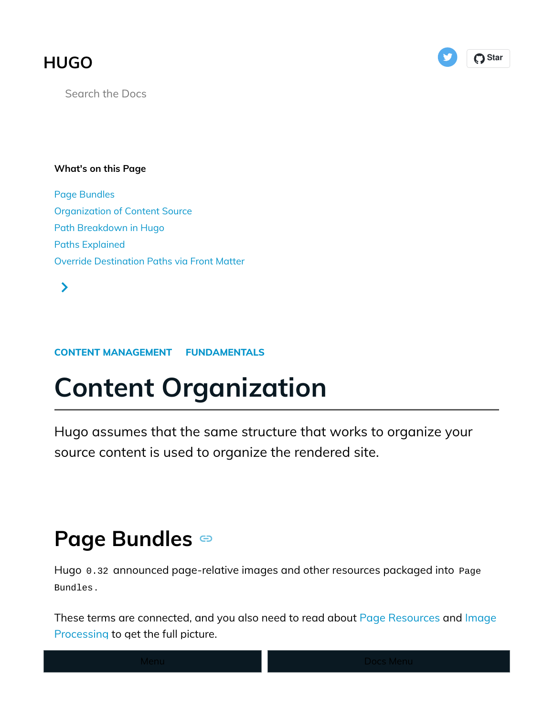### **[HUGO](https://gohugo.io/)**



Search the Docs

#### What's on this Page

[Page Bundles](https://gohugo.io/content-management/organization/#page-bundles) [Organization of Content Source](https://gohugo.io/content-management/organization/#organization-of-content-source) [Path Breakdown in Hugo](https://gohugo.io/content-management/organization/#path-breakdown-in-hugo) [Paths Explained](https://gohugo.io/content-management/organization/#paths-explained) [Override Destination Paths via Front Matter](https://gohugo.io/content-management/organization/#override-destination-paths-via-front-matter)

 $\blacktriangleright$ 

#### [CONTENT MANAGEMENT](https://gohugo.io/categories/content-management) [FUNDAMENTALS](https://gohugo.io/categories/fundamentals)

# Content Organization

Hugo assumes that the same structure that works to organize your source content is used to organize the rendered site.

### PageBundles

Hugo 0.32 announced page-relative images and other resources packaged into Page Bundles .

These terms are connected, and you also need to read about [Page Resources](https://gohugo.io/content-management/page-resources/) and [Image](https://gohugo.io/content-management/image-processing/) [Processing](https://gohugo.io/content-management/image-processing/) to get the full picture.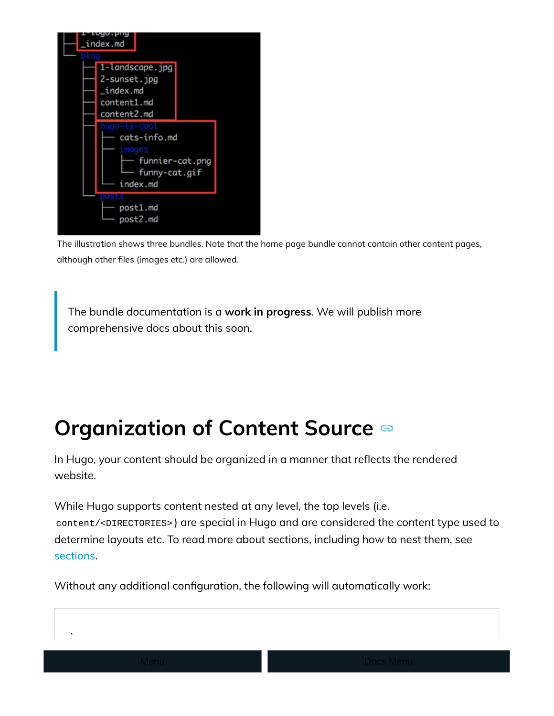

The illustration shows three bundles. Note that the home page bundle cannot contain other content pages, although other files (images etc.) are allowed.

The bundle documentation is a work in progress. We will publish more comprehensive docs about this soon.

# Organizationof Content Source  $\bullet$

In Hugo, your content should be organized in a manner that reflects the rendered website.

While Hugo supports content nested at any level, the top levels (i.e. content/<DIRECTORIES> ) are special in Hugo and are considered the content type used to determine layouts etc. To read more about sections, including how to nest them, see [sections.](https://gohugo.io/content-management/sections/)

Without any additional configuration, the following will automatically work:

.

└── content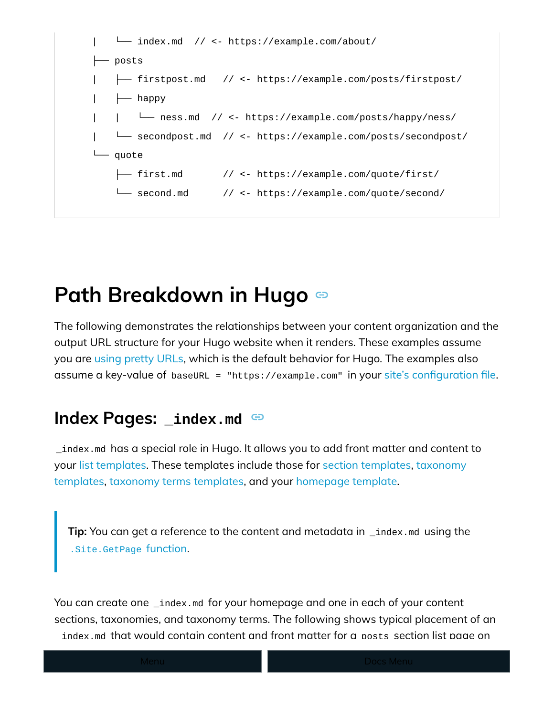

## PathBreakdown in Hugo  $\circledcirc$

The following demonstrates the relationships between your content organization and the output URL structure for your Hugo website when it renders. These examples assume you are [using pretty URLs,](https://gohugo.io/content-management/urls/#pretty-urls) which is the default behavior for Hugo. The examples also assume a key-value of baseURL = "https://example.com" in your [site's con](https://gohugo.io/getting-started/configuration/)figuration file.

#### Index Pages: \_index.md  $\bullet$

\_index.md has a special role in Hugo. It allows you to add front matter and content to your [list templates.](https://gohugo.io/templates/lists/) These templates include those for [section templates,](https://gohugo.io/templates/section-templates/) [taxonomy](https://gohugo.io/templates/taxonomy-templates/) [templates, taxonomy terms templates,](https://gohugo.io/templates/taxonomy-templates/) and your [homepage template.](https://gohugo.io/templates/homepage/)

Tip: You can get a reference to the content and metadata in \_index.md using the [.Site.GetPage](https://gohugo.io/functions/getpage/) [function.](https://gohugo.io/functions/getpage/)

You can create one \_index.md for your homepage and one in each of your content sections, taxonomies, and taxonomy terms. The following shows typical placement of an \_index.md that would contain content and front matter for a posts section list page on

a Hugo website: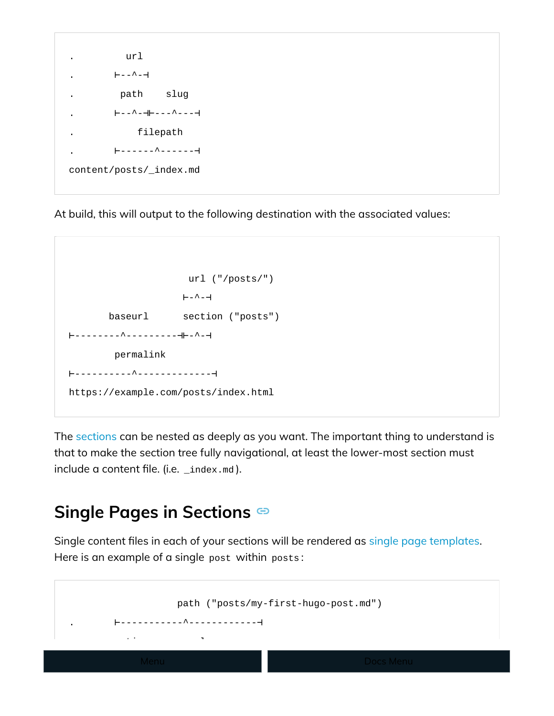

At build, this will output to the following destination with the associated values:

```
 url ("/posts/")
                    ⊢-^-⊣
       baseurl section ("posts")
⊢--------^---------⊣⊢-^-⊣
        permalink
⊢----------^-------------⊣
https://example.com/posts/index.html
```
The [sections](https://gohugo.io/content-management/sections/) can be nested as deeply as you want. The important thing to understand is that to make the section tree fully navigational, at least the lower-most section must include a content file. (i.e. \_index.md).

### SinglePages in Sections

Single content files in each of your sections will be rendered as [single page templates.](https://gohugo.io/templates/single-page-templates/) Here is an example of a single post within posts :

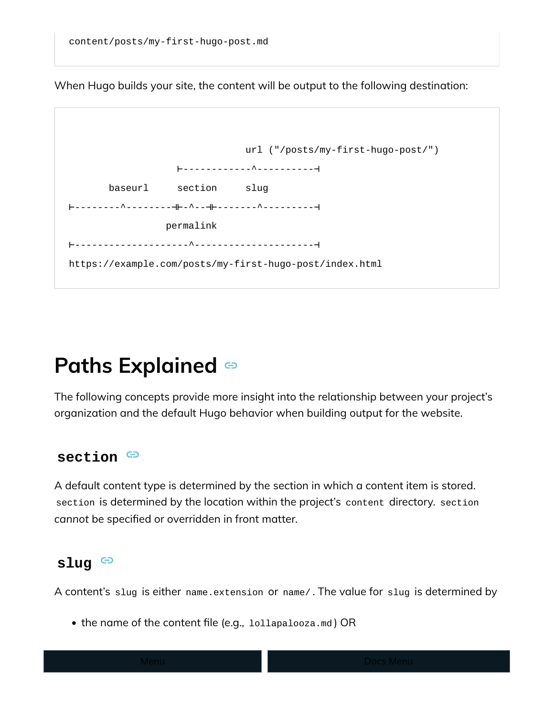When Hugo builds your site, the content will be output to the following destination:

|                                                         | url ("/posts/my-first-hugo-post/") |  |
|---------------------------------------------------------|------------------------------------|--|
|                                                         |                                    |  |
| baseurl<br>section<br>slug                              |                                    |  |
|                                                         |                                    |  |
| permalink                                               |                                    |  |
|                                                         |                                    |  |
| https://example.com/posts/my-first-hugo-post/index.html |                                    |  |
|                                                         |                                    |  |

# Paths Explained

The following concepts provide more insight into the relationship between your project's organization and the default Hugo behavior when building output for the website.

#### section  $\Theta$

A default content type is determined by the section in which a content item is stored. section is determined by the location within the project's content directory. section cannot be specified or overridden in front matter.

#### slug  $\Theta$

A content's slug is either name.extension or name/ . The value for slug is determined by

• the name of the content file (e.g., lollapalooza.md) OR

 $\mathbf{r} = \mathbf{r} \times \mathbf{r}$  for  $\mathbf{r} = \mathbf{r} \times \mathbf{r}$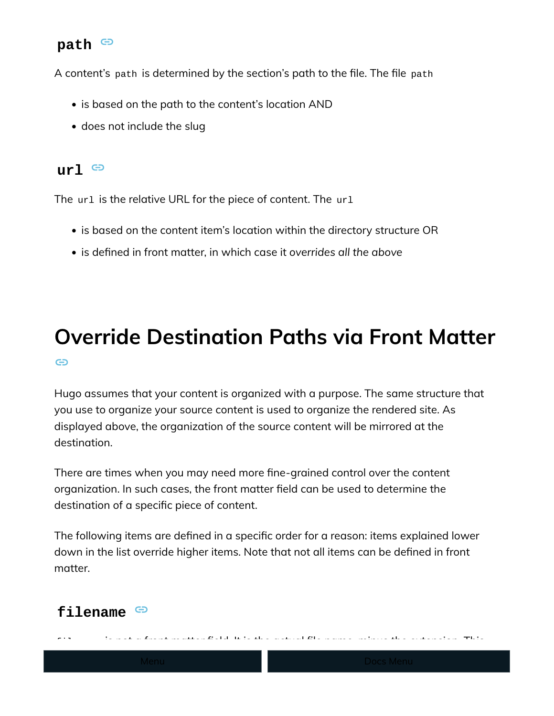#### path  $\Theta$

A content's path is determined by the section's path to the file. The file path

- is based on the path to the content's location AND
- does not include the slug

#### $ur1 \oplus$

The ur1 is the relative URL for the piece of content. The ur1

- is based on the content item's location within the directory structure OR
- is defined in front matter, in which case it overrides all the above

### [O](https://gohugo.io/content-management/organization/#override-destination-paths-via-front-matter)verride Destination Paths via Front Matter ⊕

Hugo assumes that your content is organized with a purpose. The same structure that you use to organize your source content is used to organize the rendered site. As displayed above, the organization of the source content will be mirrored at the destination.

There are times when you may need more fine-grained control over the content organization. In such cases, the front matter field can be used to determine the destination of a specific piece of content.

The following items are defined in a specific order for a reason: items explained lower down in the list override higher items. Note that not all items can be defined in front matter.

filename is not a front matter �eld. It is the actual �le name, minus the extension. This

### filename  $\Theta$

example.com/posts/my-post/ ).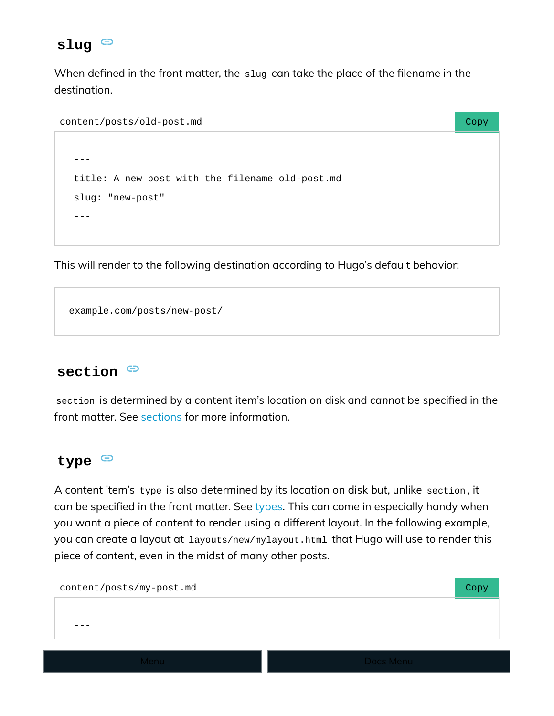#### slug<sup>c</sup>

When defined in the front matter, the slug can take the place of the filename in the destination.

```
content/posts/old-post.md Copy
```

```
---
title: A new post with the filename old-post.md
slug: "new-post"
---
```
This will render to the following destination according to Hugo's default behavior:

```
example.com/posts/new-post/
```
#### section  $\Theta$

section is determined by a content item's location on disk and cannot be specified in the front matter. See [sections](https://gohugo.io/content-management/sections/) for more information.

#### type  $\Theta$

A content item's type is also determined by its location on disk but, unlike section , it can be specified in the front matter. See [types.](https://gohugo.io/content-management/types/) This can come in especially handy when you want a piece of content to render using a different layout. In the following example, you can create a layout at layouts/new/mylayout.html that Hugo will use to render this piece of content, even in the midst of many other posts.

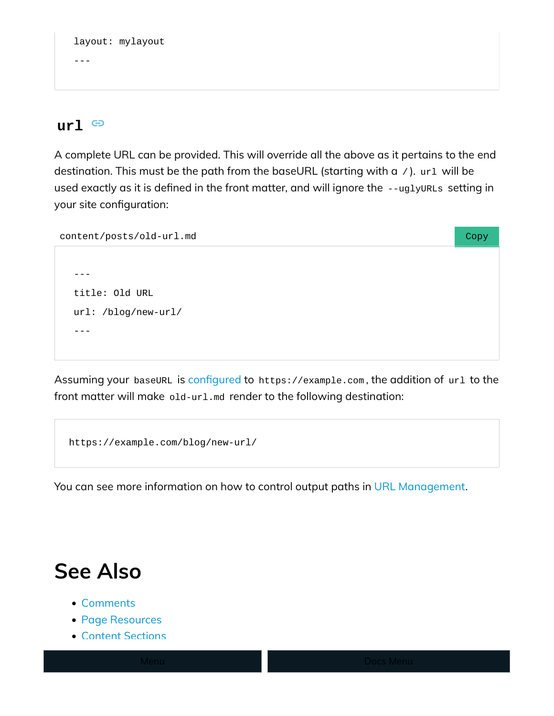```
layout: mylayout
```
---

#### $url \oplus$

A complete URL can be provided. This will override all the above as it pertains to the end destination. This must be the path from the baseURL (starting with a / ). url will be used exactly as it is defined in the front matter, and will ignore the --uglyURLs setting in your site configuration:

| content/posts/old-url.md | Copy |
|--------------------------|------|
|                          |      |
|                          |      |
| title: Old URL           |      |
| url: /blog/new-url/      |      |
|                          |      |
|                          |      |

Assuming your baseURL is confi[gured](https://gohugo.io/getting-started/configuration/) to https://example.com, the addition of url to the front matter will make old-url.md render to the following destination:

```
https://example.com/blog/new-url/
```
You can see more information on how to control output paths in [URL Management.](https://gohugo.io/content-management/urls/)

# See Also

- [Comments](https://gohugo.io/content-management/comments/)
- [Page Resources](https://gohugo.io/content-management/page-resources/)
- [Content Sections](https://gohugo.io/content-management/sections/)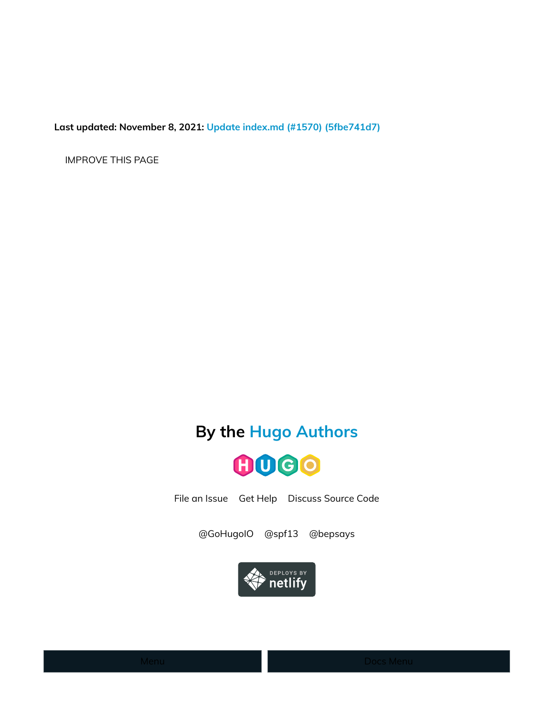Last updated: November 8, 2021: [Update index.md \(#1570\) \(5fbe741d7\)](https://github.com/gohugoio/hugoDocs/commit/5fbe741d703c247bc2df17acd54e15fa110dc531)

[IMPROVE THIS PAGE](https://github.com/gohugoio/hugoDocs/edit/master/content/en/content-management/organization/index.md)

### By the [Hugo Authors](https://github.com/gohugoio/hugo/graphs/contributors)



[File an Issue](https://github.com/gohugoio/hugo/issues/new) [Get Help](https://discourse.gohugo.io/) [Discuss Source Code](https://gitter.im/spf13/hugo)

[@GoHugoIO](https://twitter.com/gohugoio) [@spf13](https://twitter.com/spf13) [@bepsays](https://twitter.com/bepsays)